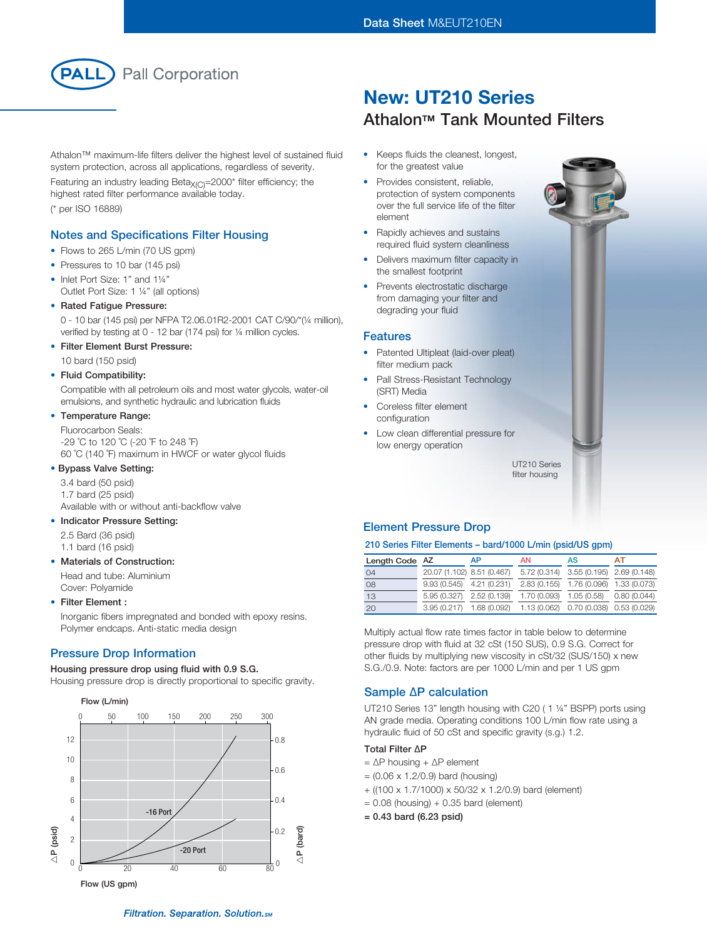

Athalon™ maximum-life filters deliver the highest level of sustained fluid system protection, across all applications, regardless of severity.

Featuring an industry leading Beta $X_{(C)}$ =2000\* filter efficiency; the highest rated filter performance available today. (\* per ISO 16889)

## Notes and Specifications Filter Housing

- Flows to 265 L/min (70 US gpm)
- Pressures to 10 bar (145 psi)
- Inlet Port Size: 1" and 1¼" Outlet Port Size: 1 ¼" (all options)
- Rated Fatique Pressure:

0 - 10 bar (145 psi) per NFPA T2.06.01R2-2001 CAT C/90/\*(¼ million), verified by testing at 0 - 12 bar (174 psi) for ¼ million cycles.

• Filter Element Burst Pressure:

10 bard (150 psid)

## • Fluid Compatibility:

Compatible with all petroleum oils and most water glycols, water-oil emulsions, and synthetic hydraulic and lubrication fluids

### • Temperature Range:

Fluorocarbon Seals: -29 ˚C to 120 ˚C (-20 ˚F to 248 ˚F) 60 ˚C (140 ˚F) maximum in HWCF or water glycol fluids

## • Bypass Valve Setting:

3.4 bard (50 psid) 1.7 bard (25 psid) Available with or without anti-backflow valve

### • Indicator Pressure Setting:

2.5 Bard (36 psid) 1.1 bard (16 psid)

### • Materials of Construction:

Head and tube: Aluminium Cover: Polyamide

### • Filter Element :

Inorganic fibers impregnated and bonded with epoxy resins. Polymer endcaps. Anti-static media design

## Pressure Drop Information

### Housing pressure drop using fluid with 0.9 S.G.

Housing pressure drop is directly proportional to specific gravity.



# New: UT210 Series **Athalon™ Tank Mounted Filters**

- • Keeps fluids the cleanest, longest, for the greatest value
- Provides consistent, reliable, protection of system components over the full service life of the filter element
- Rapidly achieves and sustains required fluid system cleanliness
- Delivers maximum filter capacity in the smallest footprint
- Prevents electrostatic discharge from damaging your filter and degrading your fluid

### Features

- Patented Ultipleat (laid-over pleat) filter medium pack
- Pall Stress-Resistant Technology (SRT) Media
- Coreless filter element configuration
- Low clean differential pressure for low energy operation

UT210 Series filter housing

## Element Pressure Drop

### 210 Series Filter Elements – bard/1000 L/min (psid/US gpm)

| Length Code AZ |                            | AP | <b>AN</b>                                                        | AS                                     | AТ |
|----------------|----------------------------|----|------------------------------------------------------------------|----------------------------------------|----|
| 04             | 20.07 (1.102) 8.51 (0.467) |    |                                                                  | 5.72 (0.314) 3.55 (0.195) 2.69 (0.148) |    |
| 08             | $9.93(0.545)$ 4.21 (0.231) |    |                                                                  | 2.83 (0.155) 1.76 (0.096) 1.33 (0.073) |    |
| 13             | 5.95 (0.327) 2.52 (0.139)  |    |                                                                  | 1.70 (0.093) 1.05 (0.58) 0.80 (0.044)  |    |
| 20             |                            |    | 3.95 (0.217) 1.68 (0.092) 1.13 (0.062) 0.70 (0.038) 0.53 (0.029) |                                        |    |

Multiply actual flow rate times factor in table below to determine pressure drop with fluid at 32 cSt (150 SUS), 0.9 S.G. Correct for other fluids by multiplying new viscosity in cSt/32 (SUS/150) x new S.G./0.9. Note: factors are per 1000 L/min and per 1 US gpm

## Sample ∆P calculation

UT210 Series 13" length housing with C20 ( 1 ¼" BSPP) ports using AN grade media. Operating conditions 100 L/min flow rate using a hydraulic fluid of 50 cSt and specific gravity (s.g.) 1.2.

## Total Filter ∆P

- = ∆P housing + ∆P element
- $= (0.06 \times 1.2/0.9)$  bard (housing)
- + ((100 x 1.7/1000) x 50/32 x 1.2/0.9) bard (element)
- $= 0.08$  (housing)  $+ 0.35$  bard (element)
- = 0.43 bard (6.23 psid)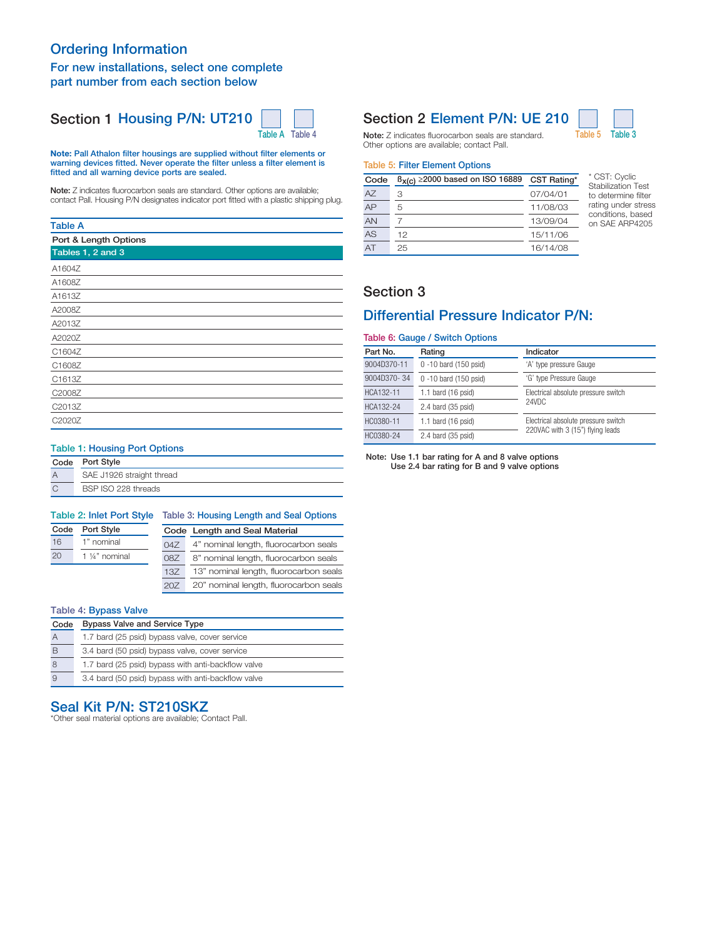# Ordering Information

## For new installations, select one complete part number from each section below

# Section 1 Housing P/N: UT210



Note: Pall Athalon filter housings are supplied without filter elements or warning devices fitted. Never operate the filter unless a filter element is fitted and all warning device ports are sealed.

Note: Z indicates fluorocarbon seals are standard. Other options are available; contact Pall. Housing P/N designates indicator port fitted with a plastic shipping plug.

### Table A

| Port & Length Options |
|-----------------------|
| Tables 1, 2 and 3     |
| A1604Z                |
| A1608Z                |
| A1613Z                |
| A2008Z                |
| A2013Z                |
| A2020Z                |
| C1604Z                |
| C1608Z                |
| C1613Z                |
| C2008Z                |
| C2013Z                |
| C2020Z                |

## Table 1: Housing Port Options

|   | Code Port Style           |
|---|---------------------------|
|   | SAE J1926 straight thread |
| C | BSP ISO 228 threads       |

| <b>Table 2: Inlet Port Style</b> |            | Table 3: Housing Length and Seal Options |                                        |  |
|----------------------------------|------------|------------------------------------------|----------------------------------------|--|
| Port Style<br>Code               |            | Code Length and Seal Material            |                                        |  |
| 16                               | 1" nominal | 047                                      | 4" nominal length, fluorocarbon seals  |  |
| 20<br>1 1/4" nominal             |            | 087                                      | 8" nominal length, fluorocarbon seals  |  |
|                                  |            | 137                                      | 13" nominal length, fluorocarbon seals |  |
|                                  |            | 20Z                                      | 20" nominal length, fluorocarbon seals |  |

#### Table 4: Bypass Valve

| Code | <b>Bypass Valve and Service Type</b>               |  |  |
|------|----------------------------------------------------|--|--|
| А    | 1.7 bard (25 psid) bypass valve, cover service     |  |  |
| B    | 3.4 bard (50 psid) bypass valve, cover service     |  |  |
| 8    | 1.7 bard (25 psid) bypass with anti-backflow valve |  |  |
| 9    | 3.4 bard (50 psid) bypass with anti-backflow valve |  |  |

## Seal Kit P/N: ST210SKZ

\*Other seal material options are available; Contact Pall.

# Section 2 Element P/N: UE 210



Note: Z indicates fluorocarbon seals are standard. Table 5 Table 3 Other options are available; contact Pall.

#### Table 5: Filter Element Options

| Code | $B_{X(C)} \ge 2000$ based on ISO 16889 | CST Rating* |
|------|----------------------------------------|-------------|
| AZ   | З                                      | 07/04/01    |
| AP   | 5                                      | 11/08/03    |
| AN   |                                        | 13/09/04    |
| AS   | 12                                     | 15/11/06    |
| ΔT   | 25                                     | 16/14/08    |

\* CST: Cyclic Stabilization Test to determine filter rating under stress conditions, based on SAE ARP4205

## Section 3

## Differential Pressure Indicator P/N:

## Table 6: Gauge / Switch Options

| Part No.    | Rating                       | Indicator                           |  |
|-------------|------------------------------|-------------------------------------|--|
| 9004D370-11 | 0 -10 bard (150 psid)        | 'A' type pressure Gauge             |  |
| 9004D370-34 | 0 -10 bard (150 psid)        | 'G' type Pressure Gauge             |  |
| HCA132-11   | 1.1 bard $(16 \text{ psid})$ | Electrical absolute pressure switch |  |
| HCA132-24   | $2.4$ bard (35 psid)         | 24VDC                               |  |
| HC0380-11   | 1.1 bard $(16 \text{ psid})$ | Electrical absolute pressure switch |  |
| HC0380-24   | $2.4$ bard (35 psid)         | 220VAC with 3 (15") flying leads    |  |

#### Note: Use 1.1 bar rating for A and 8 valve options Use 2.4 bar rating for B and 9 valve options